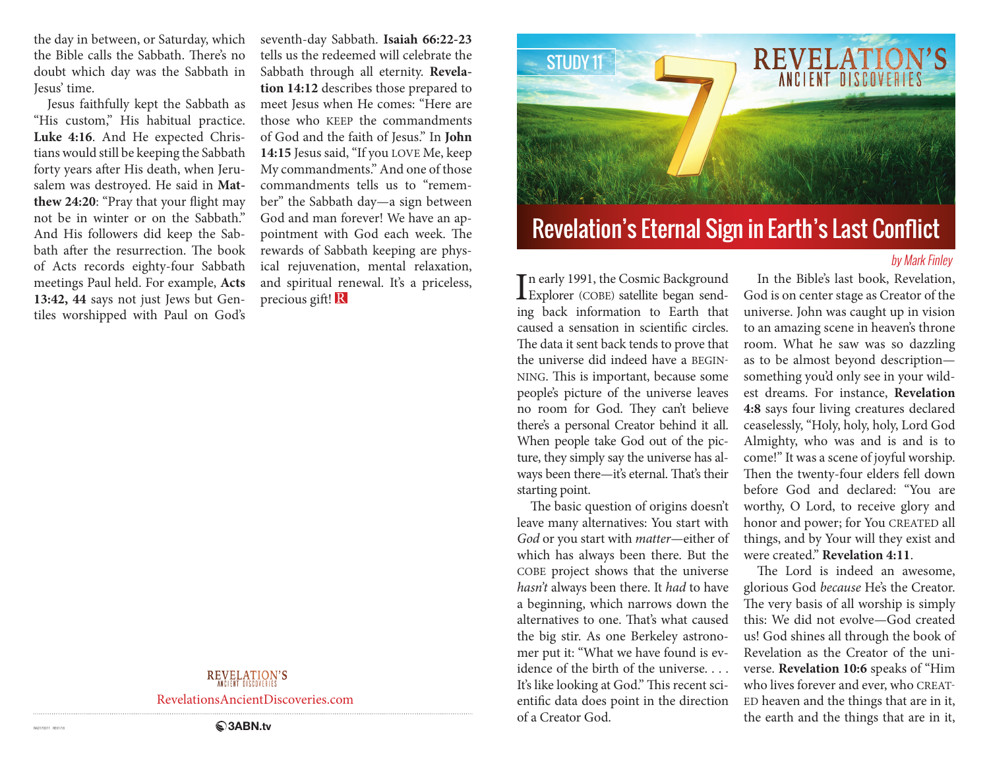the day in between, or Saturday, which the Bible calls the Sabbath. There's no doubt which day was the Sabbath in Jesus' time.

Jesus faithfully kept the Sabbath as "His custom," His habitual practice. **Luke 4:16**. And He expected Christians would still be keeping the Sabbath forty years after His death, when Jerusalem was destroyed. He said in **Matthew 24:20**: "Pray that your flight may not be in winter or on the Sabbath." And His followers did keep the Sabbath after the resurrection. The book of Acts records eighty-four Sabbath meetings Paul held. For example, **Acts 13:42, 44** says not just Jews but Gentiles worshipped with Paul on God's

seventh-day Sabbath. **Isaiah 66:22-23**  tells us the redeemed will celebrate the Sabbath through all eternity. **Revelation 14:12** describes those prepared to meet Jesus when He comes: "Here are those who KEEP the commandments of God and the faith of Jesus." In **John 14:15** Jesus said, "If you LOVE Me, keep My commandments." And one of those commandments tells us to "remember" the Sabbath day—a sign between God and man forever! We have an appointment with God each week. The rewards of Sabbath keeping are physical rejuvenation, mental relaxation, and spiritual renewal. It's a priceless, precious gift!

## **REVELATION'S**

RevelationsAncientDiscoveries.com



# Revelation's Eternal Sign in Earth's Last Conflict

### by Mark Finley

In early 1991, the Cosmic Background<br>Explorer (COBE) satellite began sendn early 1991, the Cosmic Background ing back information to Earth that caused a sensation in scientific circles. The data it sent back tends to prove that the universe did indeed have a BEGIN-NING. This is important, because some people's picture of the universe leaves no room for God. They can't believe there's a personal Creator behind it all. When people take God out of the picture, they simply say the universe has always been there—it's eternal. That's their starting point.

The basic question of origins doesn't leave many alternatives: You start with *God* or you start with *matter*—either of which has always been there. But the COBE project shows that the universe *hasn't* always been there. It *had* to have a beginning, which narrows down the alternatives to one. That's what caused the big stir. As one Berkeley astronomer put it: "What we have found is evidence of the birth of the universe. . . . It's like looking at God." This recent scientific data does point in the direction of a Creator God.

In the Bible's last book, Revelation, God is on center stage as Creator of the universe. John was caught up in vision to an amazing scene in heaven's throne room. What he saw was so dazzling as to be almost beyond description something you'd only see in your wildest dreams. For instance, **Revelation 4:8** says four living creatures declared ceaselessly, "Holy, holy, holy, Lord God Almighty, who was and is and is to come!" It was a scene of joyful worship. Then the twenty-four elders fell down before God and declared: "You are worthy, O Lord, to receive glory and honor and power; for You CREATED all things, and by Your will they exist and were created." **Revelation 4:11**.

The Lord is indeed an awesome, glorious God *because* He's the Creator. The very basis of all worship is simply this: We did not evolve—God created us! God shines all through the book of Revelation as the Creator of the universe. **Revelation 10:6** speaks of "Him who lives forever and ever, who CREAT-ED heaven and the things that are in it, the earth and the things that are in it,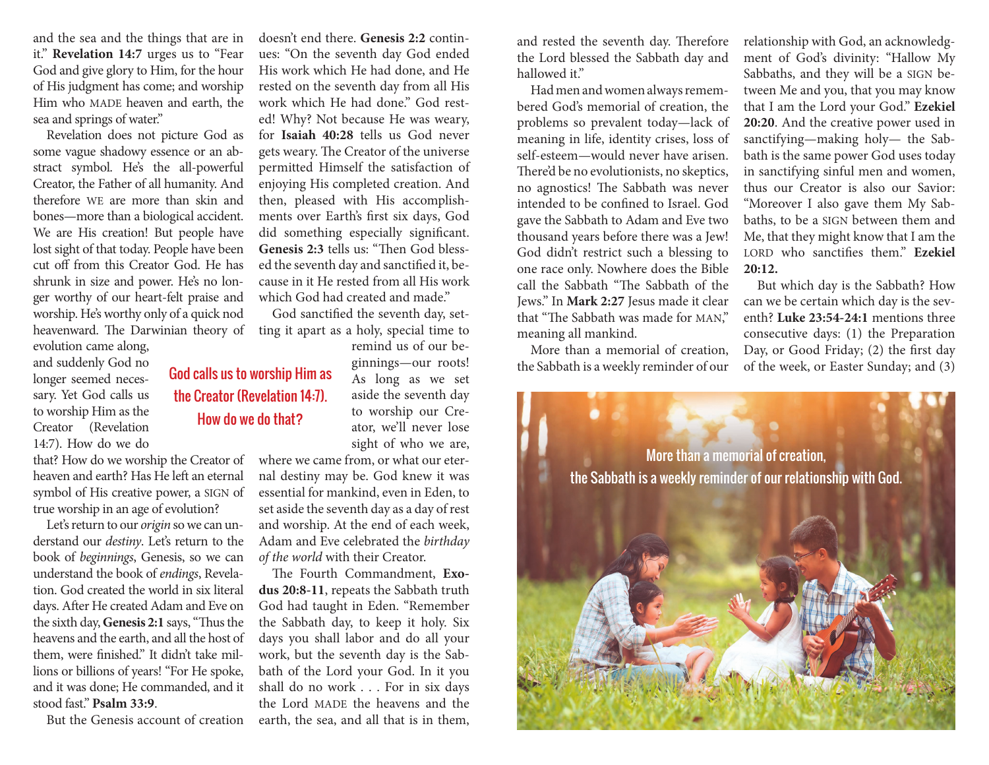and the sea and the things that are in it." **Revelation 14:7** urges us to "Fear God and give glory to Him, for the hour of His judgment has come; and worship Him who MADE heaven and earth, the sea and springs of water."

Revelation does not picture God as some vague shadowy essence or an abstract symbol. He's the all-powerful Creator, the Father of all humanity. And therefore WE are more than skin and bones—more than a biological accident. We are His creation! But people have lost sight of that today. People have been cut off from this Creator God. He has shrunk in size and power. He's no longer worthy of our heart-felt praise and worship. He's worthy only of a quick nod heavenward. The Darwinian theory of

evolution came along, and suddenly God no longer seemed necessary. Yet God calls us to worship Him as the Creator (Revelation 14:7). How do we do

that? How do we worship the Creator of heaven and earth? Has He left an eternal symbol of His creative power, a SIGN of true worship in an age of evolution?

Let's return to our *origin* so we can understand our *destiny*. Let's return to the book of *beginnings*, Genesis, so we can understand the book of *endings*, Revelation. God created the world in six literal days. After He created Adam and Eve on the sixth day, **Genesis 2:1** says, "Thus the heavens and the earth, and all the host of them, were finished." It didn't take millions or billions of years! "For He spoke, and it was done; He commanded, and it stood fast." **Psalm 33:9**.

But the Genesis account of creation

doesn't end there. **Genesis 2:2** continues: "On the seventh day God ended His work which He had done, and He rested on the seventh day from all His work which He had done." God rested! Why? Not because He was weary, for **Isaiah 40:28** tells us God never gets weary. The Creator of the universe permitted Himself the satisfaction of enjoying His completed creation. And then, pleased with His accomplishments over Earth's first six days, God did something especially significant. **Genesis 2:3** tells us: "Then God blessed the seventh day and sanctified it, because in it He rested from all His work which God had created and made."

God sanctified the seventh day, setting it apart as a holy, special time to

the Creator (Revelation 14:7). How do we do that?

remind us of our beginnings—our roots! As long as we set aside the seventh day to worship our Creator, we'll never lose sight of who we are,

where we came from, or what our eternal destiny may be. God knew it was essential for mankind, even in Eden, to set aside the seventh day as a day of rest and worship. At the end of each week, Adam and Eve celebrated the *birthday of the world* with their Creator.

The Fourth Commandment, **Exodus 20:8-11**, repeats the Sabbath truth God had taught in Eden. "Remember the Sabbath day, to keep it holy. Six days you shall labor and do all your work, but the seventh day is the Sabbath of the Lord your God. In it you shall do no work . . . For in six days the Lord MADE the heavens and the earth, the sea, and all that is in them,

and rested the seventh day. Therefore the Lord blessed the Sabbath day and hallowed it."

Had men and women always remembered God's memorial of creation, the problems so prevalent today—lack of meaning in life, identity crises, loss of self-esteem—would never have arisen. There'd be no evolutionists, no skeptics, no agnostics! The Sabbath was never intended to be confined to Israel. God gave the Sabbath to Adam and Eve two thousand years before there was a Jew! God didn't restrict such a blessing to one race only. Nowhere does the Bible call the Sabbath "The Sabbath of the Jews." In **Mark 2:27** Jesus made it clear that "The Sabbath was made for MAN," meaning all mankind.

More than a memorial of creation,

relationship with God, an acknowledgment of God's divinity: "Hallow My Sabbaths, and they will be a SIGN between Me and you, that you may know that I am the Lord your God." **Ezekiel 20:20**. And the creative power used in sanctifying—making holy— the Sabbath is the same power God uses today in sanctifying sinful men and women, thus our Creator is also our Savior: "Moreover I also gave them My Sabbaths, to be a SIGN between them and Me, that they might know that I am the LORD who sanctifies them." **Ezekiel 20:12.**

But which day is the Sabbath? How can we be certain which day is the seventh? **Luke 23:54-24:1** mentions three consecutive days: (1) the Preparation Day, or Good Friday; (2) the first day